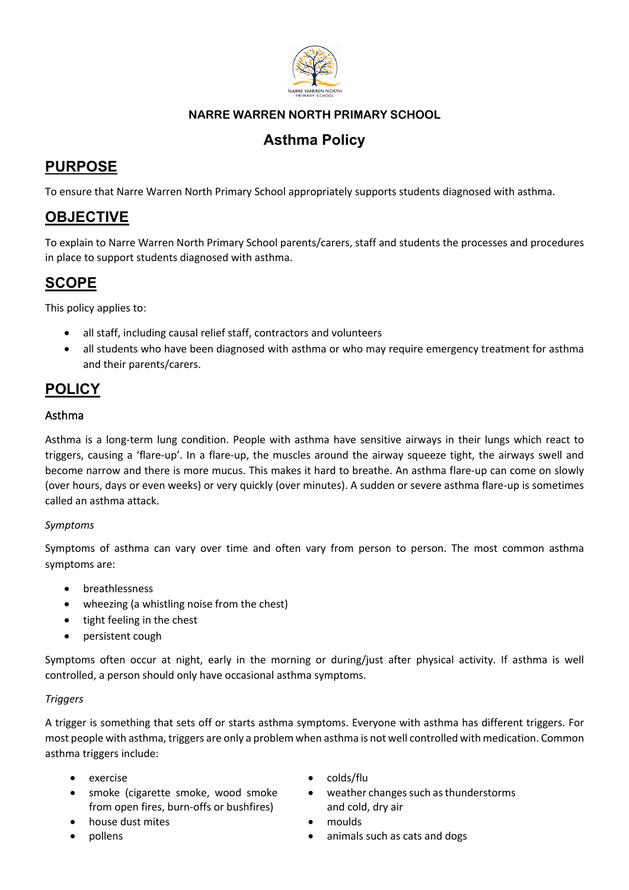

### **NARRE WARREN NORTH PRIMARY SCHOOL**

### **Asthma Policy**

# **PURPOSE**

To ensure that Narre Warren North Primary School appropriately supports students diagnosed with asthma.

### **OBJECTIVE**

To explain to Narre Warren North Primary School parents/carers, staff and students the processes and procedures in place to support students diagnosed with asthma.

### **SCOPE**

This policy applies to:

- all staff, including causal relief staff, contractors and volunteers
- all students who have been diagnosed with asthma or who may require emergency treatment for asthma and their parents/carers.

## **POLICY**

#### Asthma

Asthma is a long-term lung condition. People with asthma have sensitive airways in their lungs which react to triggers, causing a 'flare-up'. In a flare-up, the muscles around the airway squeeze tight, the airways swell and become narrow and there is more mucus. This makes it hard to breathe. An asthma flare-up can come on slowly (over hours, days or even weeks) or very quickly (over minutes). A sudden or severe asthma flare-up is sometimes called an asthma attack.

#### *Symptoms*

Symptoms of asthma can vary over time and often vary from person to person. The most common asthma symptoms are:

- breathlessness
- wheezing (a whistling noise from the chest)
- tight feeling in the chest
- persistent cough

Symptoms often occur at night, early in the morning or during/just after physical activity. If asthma is well controlled, a person should only have occasional asthma symptoms.

#### *Triggers*

A trigger is something that sets off or starts asthma symptoms. Everyone with asthma has different triggers. For most people with asthma, triggers are only a problem when asthma is not well controlled with medication. Common asthma triggers include:

- 
- smoke (cigarette smoke, wood smoke from open fires, burn-offs or bushfires)
- house dust mites **•** moulds
- 
- exercise colds/flu
	- weather changes such as thunderstorms and cold, dry air
	-
	- pollens animals such as cats and dogs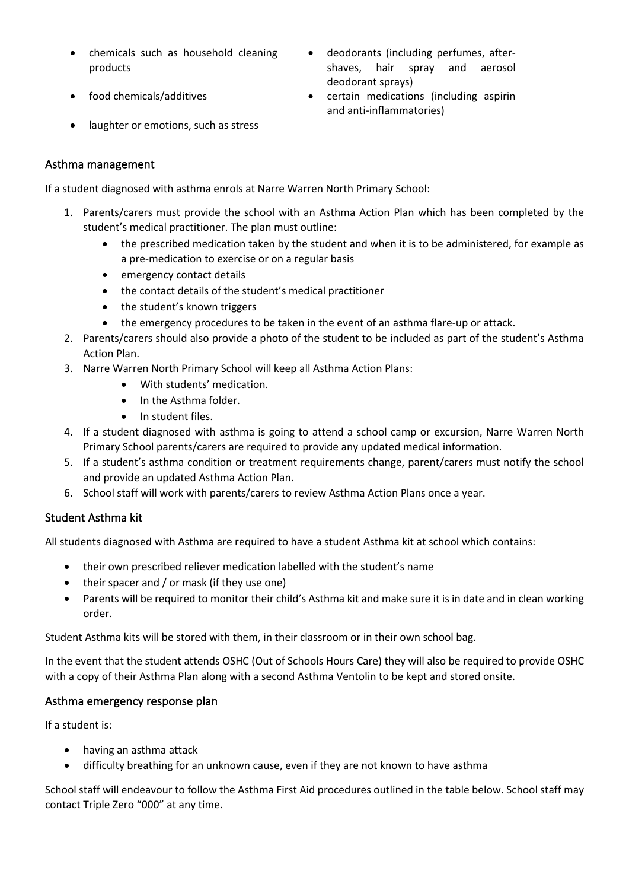- chemicals such as household cleaning products
- 
- deodorants (including perfumes, aftershaves, hair spray and aerosol deodorant sprays)
- food chemicals/additives certain medications (including aspirin and anti-inflammatories)
- laughter or emotions, such as stress

#### Asthma management

If a student diagnosed with asthma enrols at Narre Warren North Primary School:

- 1. Parents/carers must provide the school with an Asthma Action Plan which has been completed by the student's medical practitioner. The plan must outline:
	- the prescribed medication taken by the student and when it is to be administered, for example as a pre-medication to exercise or on a regular basis
	- emergency contact details
	- the contact details of the student's medical practitioner
	- the student's known triggers
	- the emergency procedures to be taken in the event of an asthma flare-up or attack.
- 2. Parents/carers should also provide a photo of the student to be included as part of the student's Asthma Action Plan.
- 3. Narre Warren North Primary School will keep all Asthma Action Plans:
	- With students' medication.
	- In the Asthma folder.
	- In student files.
- 4. If a student diagnosed with asthma is going to attend a school camp or excursion, Narre Warren North Primary School parents/carers are required to provide any updated medical information.
- 5. If a student's asthma condition or treatment requirements change, parent/carers must notify the school and provide an updated Asthma Action Plan.
- 6. School staff will work with parents/carers to review Asthma Action Plans once a year.

#### Student Asthma kit

All students diagnosed with Asthma are required to have a student Asthma kit at school which contains:

- their own prescribed reliever medication labelled with the student's name
- their spacer and / or mask (if they use one)
- Parents will be required to monitor their child's Asthma kit and make sure it is in date and in clean working order.

Student Asthma kits will be stored with them, in their classroom or in their own school bag.

In the event that the student attends OSHC (Out of Schools Hours Care) they will also be required to provide OSHC with a copy of their Asthma Plan along with a second Asthma Ventolin to be kept and stored onsite.

#### Asthma emergency response plan

If a student is:

- having an asthma attack
- difficulty breathing for an unknown cause, even if they are not known to have asthma

School staff will endeavour to follow the Asthma First Aid procedures outlined in the table below. School staff may contact Triple Zero "000" at any time.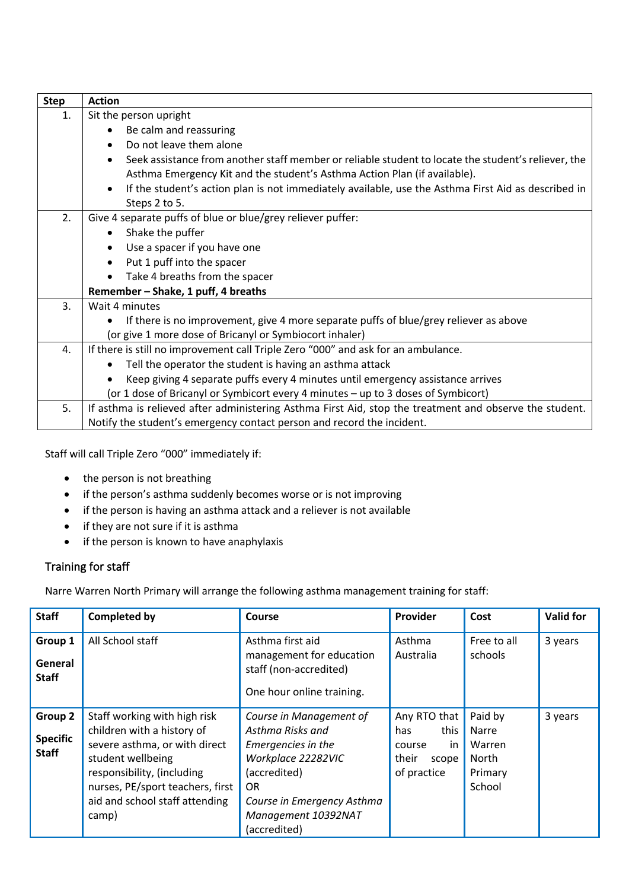| <b>Step</b> | <b>Action</b>                                                                                           |  |  |  |  |  |
|-------------|---------------------------------------------------------------------------------------------------------|--|--|--|--|--|
| 1.          | Sit the person upright                                                                                  |  |  |  |  |  |
|             | Be calm and reassuring                                                                                  |  |  |  |  |  |
|             | Do not leave them alone                                                                                 |  |  |  |  |  |
|             | Seek assistance from another staff member or reliable student to locate the student's reliever, the     |  |  |  |  |  |
|             | Asthma Emergency Kit and the student's Asthma Action Plan (if available).                               |  |  |  |  |  |
|             | If the student's action plan is not immediately available, use the Asthma First Aid as described in     |  |  |  |  |  |
|             | Steps 2 to 5.                                                                                           |  |  |  |  |  |
| 2.          | Give 4 separate puffs of blue or blue/grey reliever puffer:                                             |  |  |  |  |  |
|             | Shake the puffer                                                                                        |  |  |  |  |  |
|             | Use a spacer if you have one                                                                            |  |  |  |  |  |
|             | Put 1 puff into the spacer                                                                              |  |  |  |  |  |
|             | Take 4 breaths from the spacer                                                                          |  |  |  |  |  |
|             | Remember - Shake, 1 puff, 4 breaths                                                                     |  |  |  |  |  |
| 3.          | Wait 4 minutes                                                                                          |  |  |  |  |  |
|             | If there is no improvement, give 4 more separate puffs of blue/grey reliever as above                   |  |  |  |  |  |
|             | (or give 1 more dose of Bricanyl or Symbiocort inhaler)                                                 |  |  |  |  |  |
| 4.          | If there is still no improvement call Triple Zero "000" and ask for an ambulance.                       |  |  |  |  |  |
|             | Tell the operator the student is having an asthma attack                                                |  |  |  |  |  |
|             | Keep giving 4 separate puffs every 4 minutes until emergency assistance arrives                         |  |  |  |  |  |
|             | (or 1 dose of Bricanyl or Symbicort every 4 minutes - up to 3 doses of Symbicort)                       |  |  |  |  |  |
| 5.          | If asthma is relieved after administering Asthma First Aid, stop the treatment and observe the student. |  |  |  |  |  |
|             | Notify the student's emergency contact person and record the incident.                                  |  |  |  |  |  |

Staff will call Triple Zero "000" immediately if:

- the person is not breathing
- if the person's asthma suddenly becomes worse or is not improving
- if the person is having an asthma attack and a reliever is not available
- if they are not sure if it is asthma
- if the person is known to have anaphylaxis

#### Training for staff

Narre Warren North Primary will arrange the following asthma management training for staff:

| <b>Staff</b>                               | <b>Completed by</b>                                                                                                                                                                                                           | Course                                                                                                                                                                              | Provider                                                                     | Cost                                                     | <b>Valid for</b> |
|--------------------------------------------|-------------------------------------------------------------------------------------------------------------------------------------------------------------------------------------------------------------------------------|-------------------------------------------------------------------------------------------------------------------------------------------------------------------------------------|------------------------------------------------------------------------------|----------------------------------------------------------|------------------|
| Group 1<br>General<br><b>Staff</b>         | All School staff                                                                                                                                                                                                              | Asthma first aid<br>management for education<br>staff (non-accredited)<br>One hour online training.                                                                                 | Asthma<br>Australia                                                          | Free to all<br>schools                                   | 3 years          |
| Group 2<br><b>Specific</b><br><b>Staff</b> | Staff working with high risk<br>children with a history of<br>severe asthma, or with direct<br>student wellbeing<br>responsibility, (including<br>nurses, PE/sport teachers, first<br>aid and school staff attending<br>camp) | Course in Management of<br>Asthma Risks and<br>Emergencies in the<br>Workplace 22282VIC<br>(accredited)<br>OR.<br>Course in Emergency Asthma<br>Management 10392NAT<br>(accredited) | Any RTO that<br>this<br>has<br>in<br>course<br>their<br>scope<br>of practice | Paid by<br>Narre<br>Warren<br>North<br>Primary<br>School | 3 years          |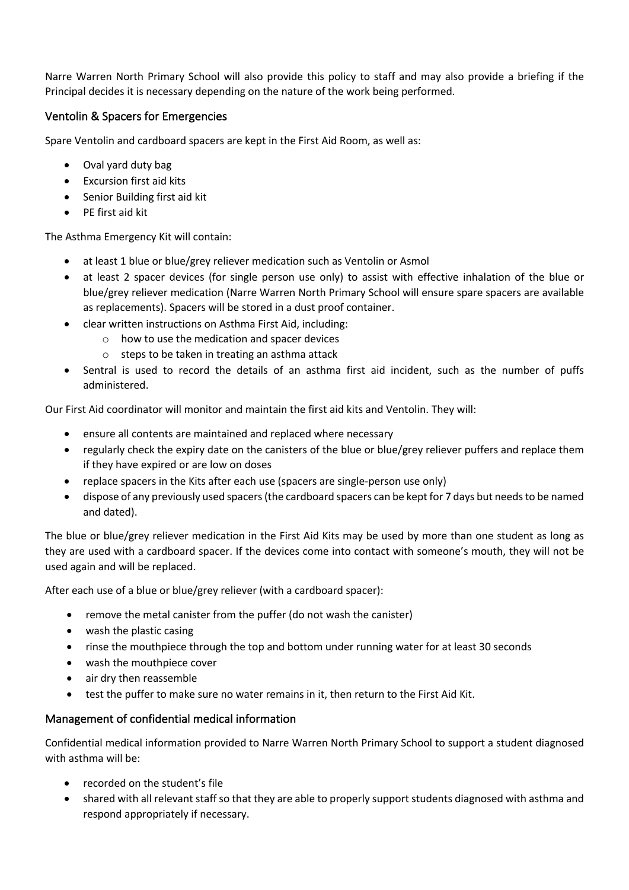Narre Warren North Primary School will also provide this policy to staff and may also provide a briefing if the Principal decides it is necessary depending on the nature of the work being performed.

#### Ventolin & Spacers for Emergencies

Spare Ventolin and cardboard spacers are kept in the First Aid Room, as well as:

- Oval yard duty bag
- Excursion first aid kits
- Senior Building first aid kit
- PE first aid kit

The Asthma Emergency Kit will contain:

- at least 1 blue or blue/grey reliever medication such as Ventolin or Asmol
- at least 2 spacer devices (for single person use only) to assist with effective inhalation of the blue or blue/grey reliever medication (Narre Warren North Primary School will ensure spare spacers are available as replacements). Spacers will be stored in a dust proof container.
- clear written instructions on Asthma First Aid, including:
	- o how to use the medication and spacer devices
	- o steps to be taken in treating an asthma attack
- Sentral is used to record the details of an asthma first aid incident, such as the number of puffs administered.

Our First Aid coordinator will monitor and maintain the first aid kits and Ventolin. They will:

- ensure all contents are maintained and replaced where necessary
- regularly check the expiry date on the canisters of the blue or blue/grey reliever puffers and replace them if they have expired or are low on doses
- replace spacers in the Kits after each use (spacers are single-person use only)
- dispose of any previously used spacers(the cardboard spacers can be kept for 7 days but needs to be named and dated).

The blue or blue/grey reliever medication in the First Aid Kits may be used by more than one student as long as they are used with a cardboard spacer. If the devices come into contact with someone's mouth, they will not be used again and will be replaced.

After each use of a blue or blue/grey reliever (with a cardboard spacer):

- remove the metal canister from the puffer (do not wash the canister)
- wash the plastic casing
- rinse the mouthpiece through the top and bottom under running water for at least 30 seconds
- wash the mouthpiece cover
- air dry then reassemble
- test the puffer to make sure no water remains in it, then return to the First Aid Kit.

#### Management of confidential medical information

Confidential medical information provided to Narre Warren North Primary School to support a student diagnosed with asthma will be:

- recorded on the student's file
- shared with all relevant staff so that they are able to properly support students diagnosed with asthma and respond appropriately if necessary.